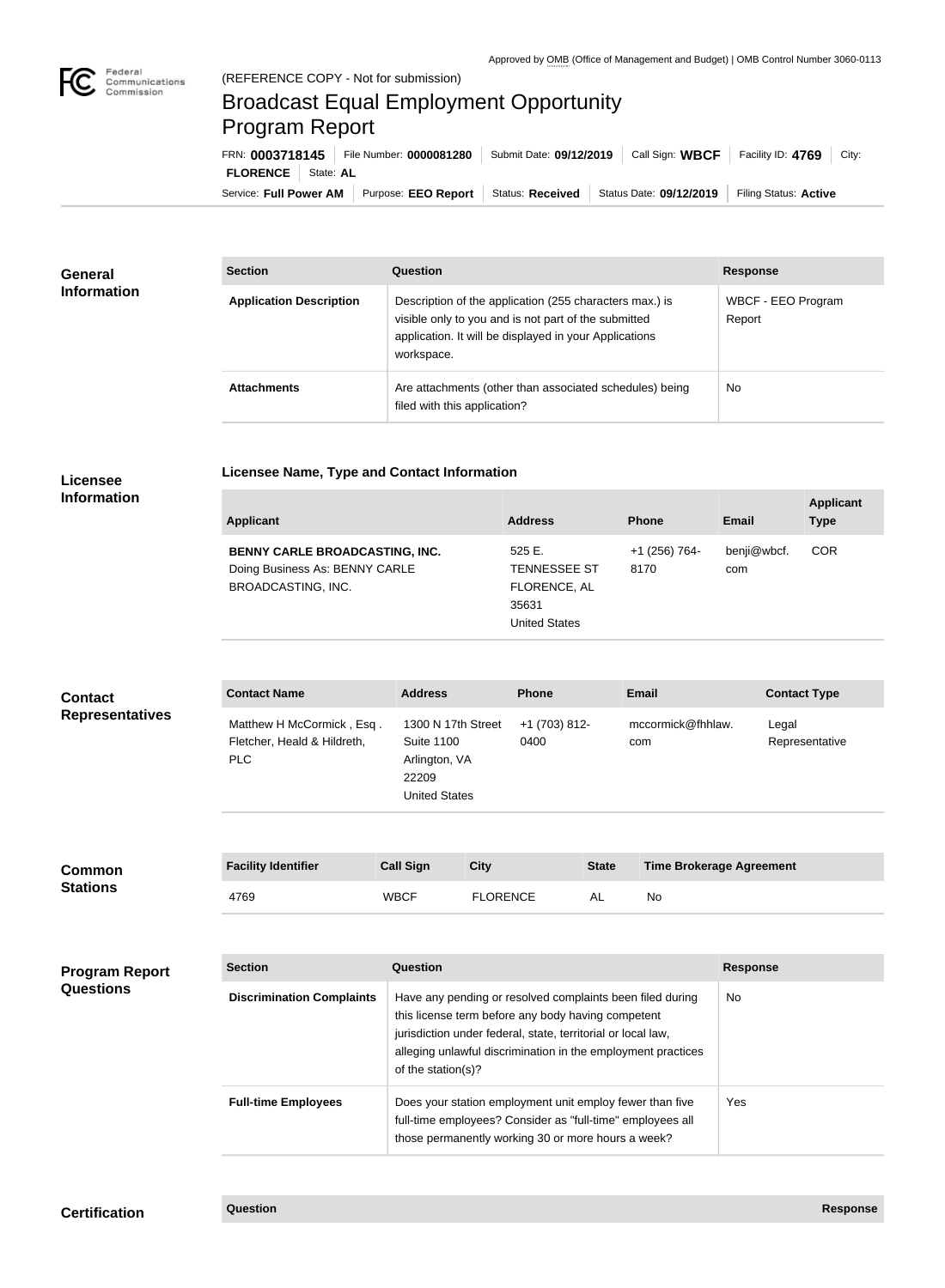

## Broadcast Equal Employment Opportunity Program Report

**Licensee Name, Type and Contact Information**

Service: Full Power AM | Purpose: EEO Report | Status: Received | Status Date: 09/12/2019 | Filing Status: Active **FLORENCE** State: **AL** FRN: **0003718145** File Number: **0000081280** Submit Date: **09/12/2019** Call Sign: **WBCF** Facility ID: **4769** City:

| <b>General</b><br><b>Information</b> | <b>Section</b>                 | <b>Question</b>                                                                                                                                                                         | <b>Response</b>              |
|--------------------------------------|--------------------------------|-----------------------------------------------------------------------------------------------------------------------------------------------------------------------------------------|------------------------------|
|                                      | <b>Application Description</b> | Description of the application (255 characters max.) is<br>visible only to you and is not part of the submitted<br>application. It will be displayed in your Applications<br>workspace. | WBCF - EEO Program<br>Report |
|                                      | <b>Attachments</b>             | Are attachments (other than associated schedules) being<br>filed with this application?                                                                                                 | <b>No</b>                    |

## **Licensee Information**

| <b>Applicant</b>               | <b>Address</b>       | <b>Phone</b>  | <b>Email</b> | <b>Applicant</b><br><b>Type</b> |
|--------------------------------|----------------------|---------------|--------------|---------------------------------|
| BENNY CARLE BROADCASTING, INC. | 525E.                | +1 (256) 764- | benji@wbcf.  | <b>COR</b>                      |
| Doing Business As: BENNY CARLE | <b>TENNESSEE ST</b>  | 8170          | com          |                                 |
| <b>BROADCASTING, INC.</b>      | FLORENCE, AL         |               |              |                                 |
|                                | 35631                |               |              |                                 |
|                                | <b>United States</b> |               |              |                                 |

## **Contact Name Address Phone Email Contact Type** Matthew H McCormick , Esq . Fletcher, Heald & Hildreth, PLC 1300 N 17th Street Suite 1100 Arlington, VA 22209 United States +1 (703) 812- 0400 mccormick@fhhlaw. com Legal Representative **Contact Representatives**

| Common<br><b>Stations</b> | <b>Facility Identifier</b> | <b>Call Sign</b> | City            | <b>State</b> | <b>Time Brokerage Agreement</b> |
|---------------------------|----------------------------|------------------|-----------------|--------------|---------------------------------|
|                           | 4769                       | <b>WBCF</b>      | <b>FLORENCE</b> | AL           | No                              |

| <b>Program Report</b><br><b>Questions</b> | <b>Section</b>                   | Question                                                                                                                                                                                                                                                              | <b>Response</b> |
|-------------------------------------------|----------------------------------|-----------------------------------------------------------------------------------------------------------------------------------------------------------------------------------------------------------------------------------------------------------------------|-----------------|
|                                           | <b>Discrimination Complaints</b> | Have any pending or resolved complaints been filed during<br>this license term before any body having competent<br>jurisdiction under federal, state, territorial or local law,<br>alleging unlawful discrimination in the employment practices<br>of the station(s)? | No.             |
|                                           | <b>Full-time Employees</b>       | Does your station employment unit employ fewer than five<br>full-time employees? Consider as "full-time" employees all<br>those permanently working 30 or more hours a week?                                                                                          | Yes:            |